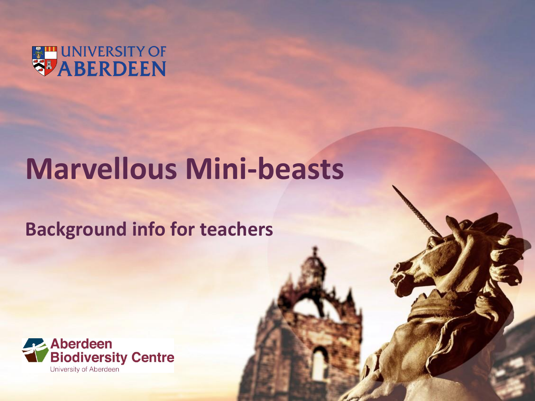

# **Marvellous Mini-beasts**

### **Background info for teachers**

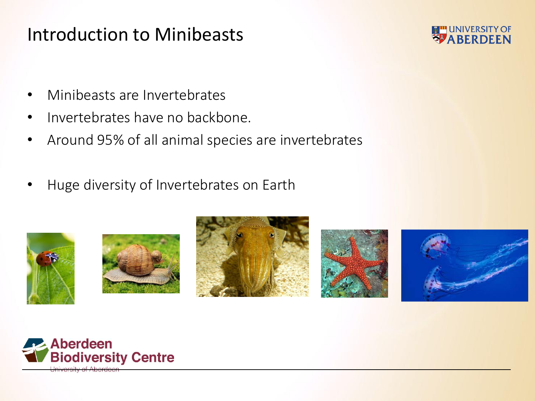#### Introduction to Minibeasts



- Minibeasts are Invertebrates
- Invertebrates have no backbone.
- Around 95% of all animal species are invertebrates
- Huge diversity of Invertebrates on Earth











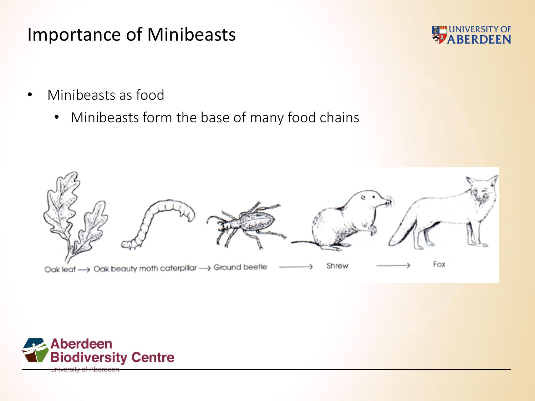#### Importance of Minibeasts



- Minibeasts as food
	- Minibeasts form the base of many food chains



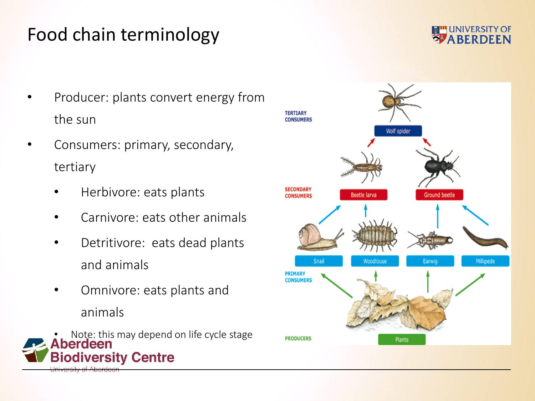# Food chain terminology

- Producer: plants convert energy from the sun
- Consumers: primary, secondary, tertiary
	- Herbivore: eats plants
	- Carnivore: eats other animals
	- Detritivore: eats dead plants and animals
	- Omnivore: eats plants and animals
- Note: this may depend on life cycle stage<br>**berdeen Biodiversity Centre**



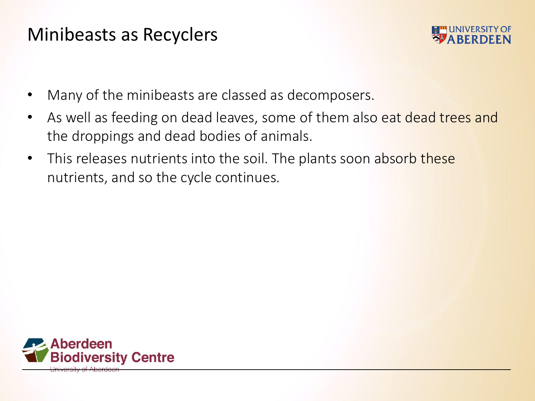#### Minibeasts as Recyclers



- Many of the minibeasts are classed as decomposers.
- As well as feeding on dead leaves, some of them also eat dead trees and the droppings and dead bodies of animals.
- This releases nutrients into the soil. The plants soon absorb these nutrients, and so the cycle continues.

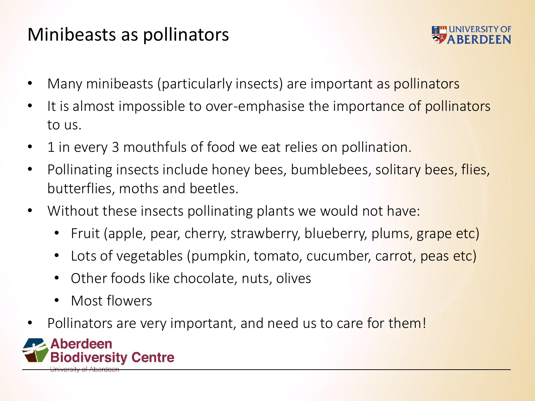# Minibeasts as pollinators



- Many minibeasts (particularly insects) are important as pollinators
- It is almost impossible to over-emphasise the importance of pollinators to us.
- 1 in every 3 mouthfuls of food we eat relies on pollination.
- Pollinating insects include honey bees, bumblebees, solitary bees, flies, butterflies, moths and beetles.
- Without these insects pollinating plants we would not have:
	- Fruit (apple, pear, cherry, strawberry, blueberry, plums, grape etc)
	- Lots of vegetables (pumpkin, tomato, cucumber, carrot, peas etc)
	- Other foods like chocolate, nuts, olives
	- Most flowers
- Pollinators are very important, and need us to care for them!

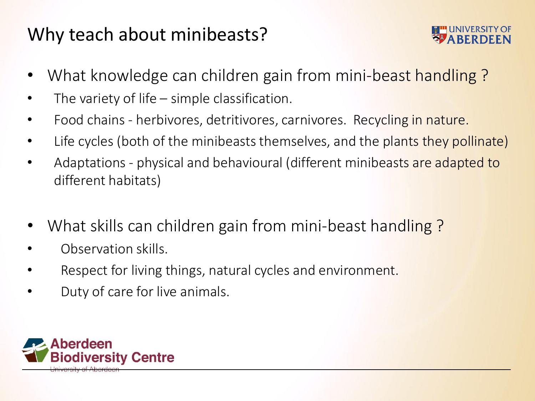# Why teach about minibeasts?



- What knowledge can children gain from mini-beast handling?
- The variety of life  $-$  simple classification.
- Food chains herbivores, detritivores, carnivores. Recycling in nature.
- Life cycles (both of the minibeasts themselves, and the plants they pollinate)
- Adaptations physical and behavioural (different minibeasts are adapted to different habitats)
- What skills can children gain from mini-beast handling?
- Observation skills.
- Respect for living things, natural cycles and environment.
- Duty of care for live animals.

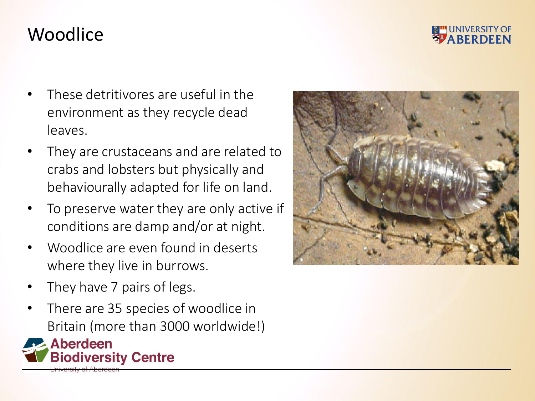

#### Woodlice

- These detritivores are useful in the environment as they recycle dead leaves.
- They are crustaceans and are related to crabs and lobsters but physically and behaviourally adapted for life on land.
- To preserve water they are only active if conditions are damp and/or at night.
- Woodlice are even found in deserts where they live in burrows.
- They have 7 pairs of legs.
- There are 35 species of woodlice in Britain (more than 3000 worldwide!)



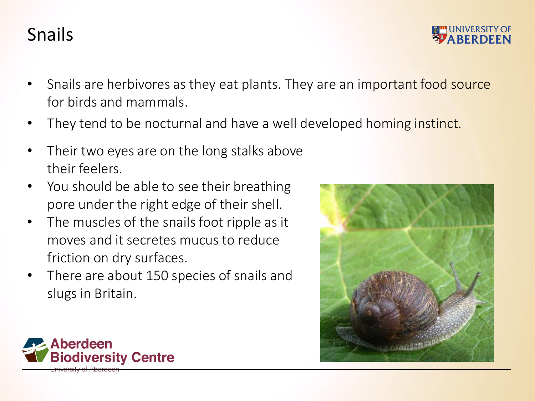# Snails

- Snails are herbivores as they eat plants. They are an important food source for birds and mammals.
- They tend to be nocturnal and have a well developed homing instinct.
- Their two eyes are on the long stalks above their feelers.
- You should be able to see their breathing pore under the right edge of their shell.
- The muscles of the snails foot ripple as it moves and it secretes mucus to reduce friction on dry surfaces.
- There are about 150 species of snails and slugs in Britain.



**UNIVERSITY OF ABERDE** 

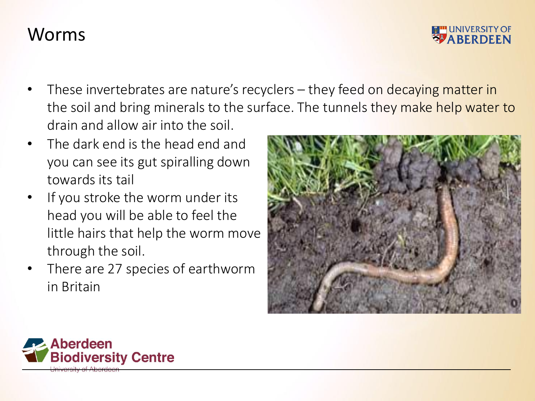#### Worms



- These invertebrates are nature's recyclers they feed on decaying matter in the soil and bring minerals to the surface. The tunnels they make help water to drain and allow air into the soil.
- The dark end is the head end and you can see its gut spiralling down towards its tail
- If you stroke the worm under its head you will be able to feel the little hairs that help the worm move through the soil.
- There are 27 species of earthworm in Britain



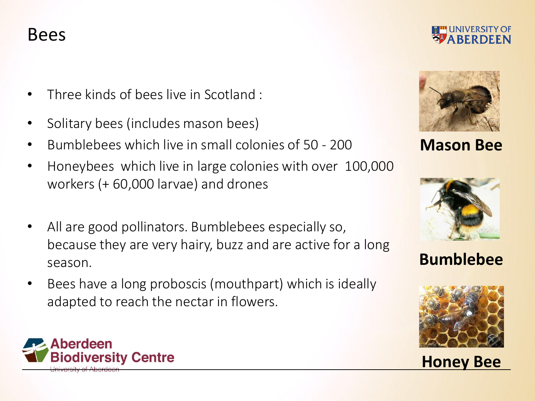#### Bees

- Three kinds of bees live in Scotland :
- Solitary bees (includes mason bees)
- Bumblebees which live in small colonies of 50 200
- Honeybees which live in large colonies with over 100,000 workers (+ 60,000 larvae) and drones
- All are good pollinators. Bumblebees especially so, because they are very hairy, buzz and are active for a long season.
- Bees have a long proboscis (mouthpart) which is ideally adapted to reach the nectar in flowers.







**Mason Bee**



#### **Bumblebee**



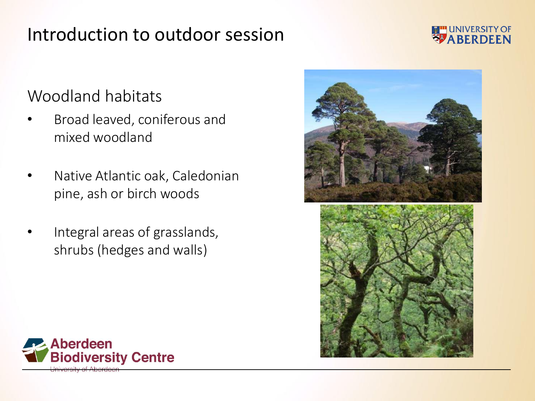### Introduction to outdoor session

#### Woodland habitats

- Broad leaved, coniferous and mixed woodland
- Native Atlantic oak, Caledonian pine, ash or birch woods
- Integral areas of grasslands, shrubs (hedges and walls)





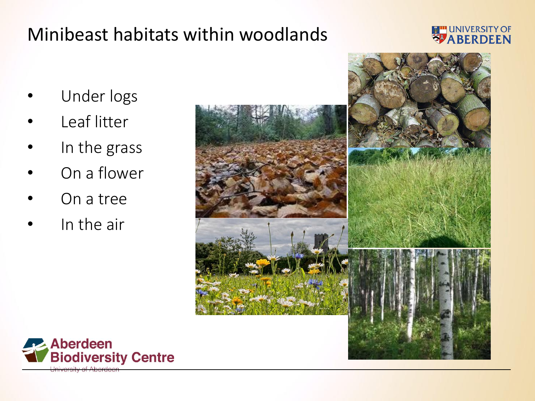# Minibeast habitats within woodlands

- 
- Under logs
- Leaf litter
- In the grass
- On a flower
- On a tree
- In the air



**EMPLOYMERSITY OF** 

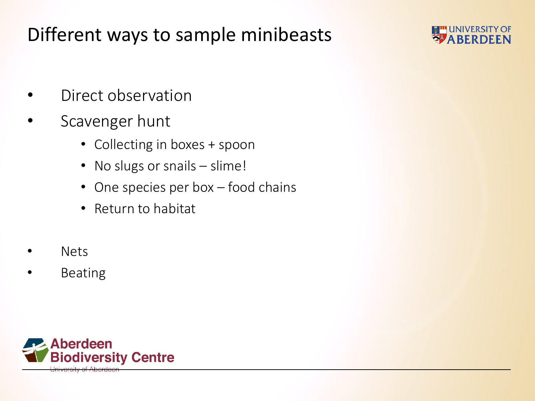# Different ways to sample minibeasts



- Direct observation
- Scavenger hunt
	- Collecting in boxes + spoon
	- No slugs or snails slime!
	- One species per box food chains
	- Return to habitat
- Nets
- **Beating**

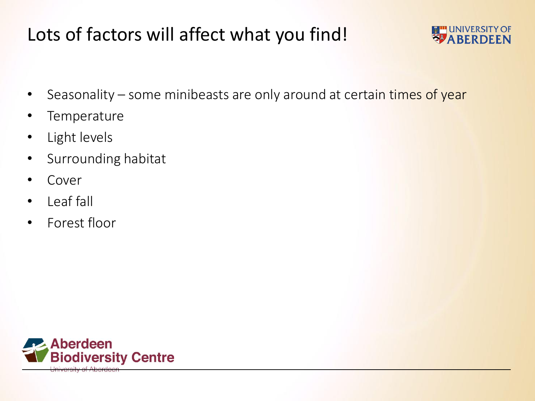# Lots of factors will affect what you find!



- Seasonality some minibeasts are only around at certain times of year
- **Temperature**
- Light levels
- Surrounding habitat
- **Cover**
- Leaf fall
- Forest floor